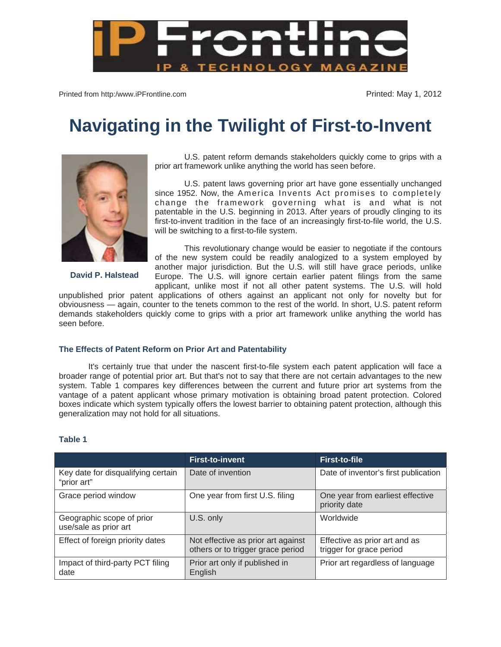

Printed from http:/www.iPFrontline.com example and the state of the Printed: May 1, 2012

## **Navigating in the Twilight of First-to-Invent**



**David P. Halstead** 

U.S. patent reform demands stakeholders quickly come to grips with a prior art framework unlike anything the world has seen before.

U.S. patent laws governing prior art have gone essentially unchanged since 1952. Now, the America Invents Act promises to completely change the framework governing what is and what is not patentable in the U.S. beginning in 2013. After years of proudly clinging to its first-to-invent tradition in the face of an increasingly first-to-file world, the U.S. will be switching to a first-to-file system.

This revolutionary change would be easier to negotiate if the contours of the new system could be readily analogized to a system employed by another major jurisdiction. But the U.S. will still have grace periods, unlike Europe. The U.S. will ignore certain earlier patent filings from the same applicant, unlike most if not all other patent systems. The U.S. will hold

unpublished prior patent applications of others against an applicant not only for novelty but for obviousness — again, counter to the tenets common to the rest of the world. In short, U.S. patent reform demands stakeholders quickly come to grips with a prior art framework unlike anything the world has seen before.

## **The Effects of Patent Reform on Prior Art and Patentability**

It's certainly true that under the nascent first-to-file system each patent application will face a broader range of potential prior art. But that's not to say that there are not certain advantages to the new system. Table 1 compares key differences between the current and future prior art systems from the vantage of a patent applicant whose primary motivation is obtaining broad patent protection. Colored boxes indicate which system typically offers the lowest barrier to obtaining patent protection, although this generalization may not hold for all situations.

## **Table 1**

|                                                    | <b>First-to-invent</b>                                                  | <b>First-to-file</b>                                      |
|----------------------------------------------------|-------------------------------------------------------------------------|-----------------------------------------------------------|
| Key date for disqualifying certain<br>"prior art"  | Date of invention                                                       | Date of inventor's first publication                      |
| Grace period window                                | One year from first U.S. filing                                         | One year from earliest effective<br>priority date         |
| Geographic scope of prior<br>use/sale as prior art | U.S. only                                                               | Worldwide                                                 |
| Effect of foreign priority dates                   | Not effective as prior art against<br>others or to trigger grace period | Effective as prior art and as<br>trigger for grace period |
| Impact of third-party PCT filing<br>date           | Prior art only if published in<br>English                               | Prior art regardless of language                          |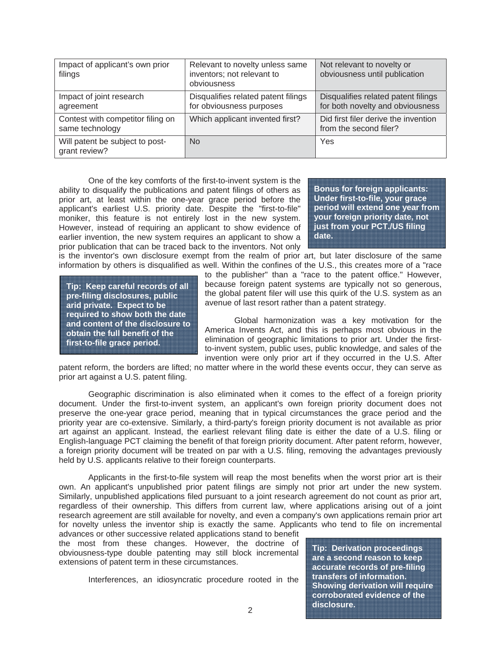| Impact of applicant's own prior<br>filings           | Relevant to novelty unless same<br>inventors; not relevant to<br>obviousness | Not relevant to novelty or<br>obviousness until publication             |
|------------------------------------------------------|------------------------------------------------------------------------------|-------------------------------------------------------------------------|
| Impact of joint research<br>agreement                | Disqualifies related patent filings<br>for obviousness purposes              | Disqualifies related patent filings<br>for both novelty and obviousness |
| Contest with competitor filing on<br>same technology | Which applicant invented first?                                              | Did first filer derive the invention<br>from the second filer?          |
| Will patent be subject to post-<br>grant review?     | <b>No</b>                                                                    | Yes                                                                     |

One of the key comforts of the first-to-invent system is the ability to disqualify the publications and patent filings of others as prior art, at least within the one-year grace period before the applicant's earliest U.S. priority date. Despite the "first-to-file" moniker, this feature is not entirely lost in the new system. However, instead of requiring an applicant to show evidence of earlier invention, the new system requires an applicant to show a prior publication that can be traced back to the inventors. Not only

**Bonus for foreign applicants: Under first-to-file, your grace period will extend one year from your foreign priority date, not just from your PCT./US filing date.**

is the inventor's own disclosure exempt from the realm of prior art, but later disclosure of the same information by others is disqualified as well. Within the confines of the U.S., this creates more of a "race

**Tip: Keep careful records of all pre-filing disclosures, public arid private. Expect to be required to show both the date and content of the disclosure to obtain the full benefit of the first-to-file grace period.** 

to the publisher" than a "race to the patent office." However, because foreign patent systems are typically not so generous, the global patent filer will use this quirk of the U.S. system as an avenue of last resort rather than a patent strategy.

Global harmonization was a key motivation for the America Invents Act, and this is perhaps most obvious in the elimination of geographic limitations to prior art. Under the firstto-invent system, public uses, public knowledge, and sales of the invention were only prior art if they occurred in the U.S. After

patent reform, the borders are lifted; no matter where in the world these events occur, they can serve as prior art against a U.S. patent filing.

Geographic discrimination is also eliminated when it comes to the effect of a foreign priority document. Under the first-to-invent system, an applicant's own foreign priority document does not preserve the one-year grace period, meaning that in typical circumstances the grace period and the priority year are co-extensive. Similarly, a third-party's foreign priority document is not available as prior art against an applicant. Instead, the earliest relevant filing date is either the date of a U.S. filing or English-language PCT claiming the benefit of that foreign priority document. After patent reform, however, a foreign priority document will be treated on par with a U.S. filing, removing the advantages previously held by U.S. applicants relative to their foreign counterparts.

Applicants in the first-to-file system will reap the most benefits when the worst prior art is their own. An applicant's unpublished prior patent filings are simply not prior art under the new system. Similarly, unpublished applications filed pursuant to a joint research agreement do not count as prior art, regardless of their ownership. This differs from current law, where applications arising out of a joint research agreement are still available for novelty, and even a company's own applications remain prior art for novelty unless the inventor ship is exactly the same. Applicants who tend to file on incremental

advances or other successive related applications stand to benefit the most from these changes. However, the doctrine of obviousness-type double patenting may still block incremental extensions of patent term in these circumstances.

Interferences, an idiosyncratic procedure rooted in the

**Tip: Derivation proceedings are a second reason to keep accurate records of pre-filing transfers of information. Showing derivation will require corroborated evidence of the disclosure.**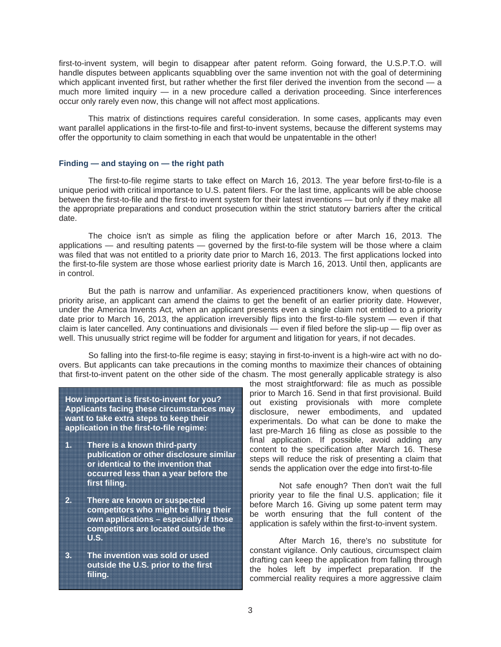first-to-invent system, will begin to disappear after patent reform. Going forward, the U.S.P.T.O. will handle disputes between applicants squabbling over the same invention not with the goal of determining which applicant invented first, but rather whether the first filer derived the invention from the second — a much more limited inquiry — in a new procedure called a derivation proceeding. Since interferences occur only rarely even now, this change will not affect most applications.

This matrix of distinctions requires careful consideration. In some cases, applicants may even want parallel applications in the first-to-file and first-to-invent systems, because the different systems may offer the opportunity to claim something in each that would be unpatentable in the other!

## **Finding — and staying on — the right path**

The first-to-file regime starts to take effect on March 16, 2013. The year before first-to-file is a unique period with critical importance to U.S. patent filers. For the last time, applicants will be able choose between the first-to-file and the first-to invent system for their latest inventions — but only if they make all the appropriate preparations and conduct prosecution within the strict statutory barriers after the critical date.

The choice isn't as simple as filing the application before or after March 16, 2013. The applications — and resulting patents — governed by the first-to-file system will be those where a claim was filed that was not entitled to a priority date prior to March 16, 2013. The first applications locked into the first-to-file system are those whose earliest priority date is March 16, 2013. Until then, applicants are in control.

But the path is narrow and unfamiliar. As experienced practitioners know, when questions of priority arise, an applicant can amend the claims to get the benefit of an earlier priority date. However, under the America Invents Act, when an applicant presents even a single claim not entitled to a priority date prior to March 16, 2013, the application irreversibly flips into the first-to-file system — even if that claim is later cancelled. Any continuations and divisionals — even if filed before the slip-up — flip over as well. This unusually strict regime will be fodder for argument and litigation for years, if not decades.

So falling into the first-to-file regime is easy; staying in first-to-invent is a high-wire act with no doovers. But applicants can take precautions in the coming months to maximize their chances of obtaining that first-to-invent patent on the other side of the chasm. The most generally applicable strategy is also

**How important is first-to-invent for you? Applicants facing these circumstances may want to take extra steps to keep their application in the first-to-file regime:** 

- **1. There is a known third-party publication or other disclosure similar or identical to the invention that occurred less than a year before the first filing.**
- **2. There are known or suspected competitors who might be filing their own applications – especially if those competitors are located outside the U.S.**
- **3. The invention was sold or used outside the U.S. prior to the first filing.**

the most straightforward: file as much as possible prior to March 16. Send in that first provisional. Build out existing provisionals with more complete disclosure, newer embodiments, and updated experimentals. Do what can be done to make the last pre-March 16 filing as close as possible to the final application. If possible, avoid adding any content to the specification after March 16. These steps will reduce the risk of presenting a claim that sends the application over the edge into first-to-file

Not safe enough? Then don't wait the full priority year to file the final U.S. application; file it before March 16. Giving up some patent term may be worth ensuring that the full content of the application is safely within the first-to-invent system.

After March 16, there's no substitute for constant vigilance. Only cautious, circumspect claim drafting can keep the application from falling through the holes left by imperfect preparation. If the commercial reality requires a more aggressive claim